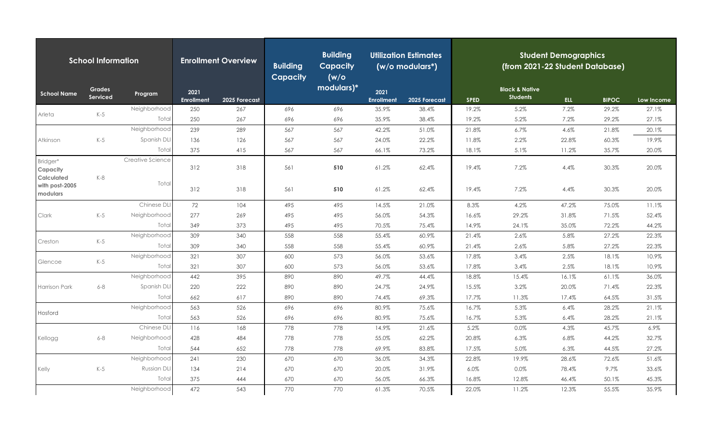| <b>School Information</b>                 |                           |                    | <b>Enrollment Overview</b> |               | <b>Building</b><br><b>Capacity</b> | <b>Building</b><br><b>Capacity</b><br>(w/o) | <b>Utilization Estimates</b><br>(w/o modulars*) |               | <b>Student Demographics</b><br>(from 2021-22 Student Database) |                                              |       |              |            |  |
|-------------------------------------------|---------------------------|--------------------|----------------------------|---------------|------------------------------------|---------------------------------------------|-------------------------------------------------|---------------|----------------------------------------------------------------|----------------------------------------------|-------|--------------|------------|--|
| <b>School Name</b>                        | <b>Grades</b><br>Serviced | Program            | 2021<br>Enrollment         | 2025 Forecast |                                    | modulars)*                                  | 2021<br><b>Enrollment</b>                       | 2025 Forecast | <b>SPED</b>                                                    | <b>Black &amp; Native</b><br><b>Students</b> | ELL-  | <b>BIPOC</b> | Low Income |  |
| Arleta                                    |                           | Neighborhood       | 250                        | 267           | 696                                | 696                                         | 35.9%                                           | 38.4%         | 19.2%                                                          | 5.2%                                         | 7.2%  | 29.2%        | 27.1%      |  |
|                                           | $K-5$                     | Total              | 250                        | 267           | 696                                | 696                                         | 35.9%                                           | 38.4%         | 19.2%                                                          | 5.2%                                         | 7.2%  | 29.2%        | 27.1%      |  |
|                                           |                           | Neighborhood       | 239                        | 289           | 567                                | 567                                         | 42.2%                                           | 51.0%         | 21.8%                                                          | 6.7%                                         | 4.6%  | 21.8%        | 20.1%      |  |
| Atkinson                                  | $K-5$                     | Spanish DLI        | 136                        | 126           | 567                                | 567                                         | 24.0%                                           | 22.2%         | 11.8%                                                          | 2.2%                                         | 22.8% | 60.3%        | 19.9%      |  |
|                                           |                           | Total              | 375                        | 415           | 567                                | 567                                         | 66.1%                                           | 73.2%         | 18.1%                                                          | 5.1%                                         | 11.2% | 35.7%        | 20.0%      |  |
| Bridger*<br>Capacity<br><b>Calculated</b> | $K-8$                     | Creative Science   | 312                        | 318           | 561                                | 510                                         | 61.2%                                           | 62.4%         | 19.4%                                                          | 7.2%                                         | 4.4%  | 30.3%        | 20.0%      |  |
| with post-2005<br>modulars<br>Clark       |                           | Total              | 312                        | 318           | 561                                | 510                                         | 61.2%                                           | 62.4%         | 19.4%                                                          | 7.2%                                         | 4.4%  | 30.3%        | 20.0%      |  |
|                                           |                           | Chinese DLI        | 72                         | 104           | 495                                | 495                                         | 14.5%                                           | 21.0%         | 8.3%                                                           | 4.2%                                         | 47.2% | 75.0%        | 11.1%      |  |
|                                           | $K-5$                     | Neighborhood       | 277                        | 269           | 495                                | 495                                         | 56.0%                                           | 54.3%         | 16.6%                                                          | 29.2%                                        | 31.8% | 71.5%        | 52.4%      |  |
|                                           |                           | Total              | 349                        | 373           | 495                                | 495                                         | 70.5%                                           | 75.4%         | 14.9%                                                          | 24.1%                                        | 35.0% | 72.2%        | 44.2%      |  |
| Creston                                   | $K-5$                     | Neighborhood       | 309                        | 340           | 558                                | 558                                         | 55.4%                                           | 60.9%         | 21.4%                                                          | 2.6%                                         | 5.8%  | 27.2%        | 22.3%      |  |
|                                           |                           | Total              | 309                        | 340           | 558                                | 558                                         | 55.4%                                           | 60.9%         | 21.4%                                                          | 2.6%                                         | 5.8%  | 27.2%        | 22.3%      |  |
| Glencoe                                   | $K-5$                     | Neighborhood       | 321                        | 307           | 600                                | 573                                         | 56.0%                                           | 53.6%         | 17.8%                                                          | 3.4%                                         | 2.5%  | 18.1%        | 10.9%      |  |
|                                           |                           | Total              | 321                        | 307           | 600                                | 573                                         | 56.0%                                           | 53.6%         | 17.8%                                                          | 3.4%                                         | 2.5%  | 18.1%        | 10.9%      |  |
|                                           |                           | Neighborhood       | 442                        | 395           | 890                                | 890                                         | 49.7%                                           | 44.4%         | 18.8%                                                          | 15.4%                                        | 16.1% | 61.1%        | 36.0%      |  |
| Harrison Park                             | $6 - 8$                   | Spanish DLI        | 220                        | 222           | 890                                | 890                                         | 24.7%                                           | 24.9%         | 15.5%                                                          | 3.2%                                         | 20.0% | 71.4%        | 22.3%      |  |
|                                           |                           | Total              | 662                        | 617           | 890                                | 890                                         | 74.4%                                           | 69.3%         | 17.7%                                                          | 11.3%                                        | 17.4% | 64.5%        | 31.5%      |  |
| Hosford                                   |                           | Neighborhood       | 563                        | 526           | 696                                | 696                                         | 80.9%                                           | 75.6%         | 16.7%                                                          | 5.3%                                         | 6.4%  | 28.2%        | 21.1%      |  |
|                                           |                           | Total              | 563                        | 526           | 696                                | 696                                         | 80.9%                                           | 75.6%         | 16.7%                                                          | 5.3%                                         | 6.4%  | 28.2%        | 21.1%      |  |
|                                           |                           | Chinese DLI        | 116                        | 168           | 778                                | 778                                         | 14.9%                                           | 21.6%         | 5.2%                                                           | 0.0%                                         | 4.3%  | 45.7%        | 6.9%       |  |
| Kellogg                                   | $6 - 8$                   | Neighborhood       | 428                        | 484           | 778                                | 778                                         | 55.0%                                           | 62.2%         | 20.8%                                                          | 6.3%                                         | 6.8%  | 44.2%        | 32.7%      |  |
|                                           |                           | Total              | 544                        | 652           | 778                                | 778                                         | 69.9%                                           | 83.8%         | 17.5%                                                          | 5.0%                                         | 6.3%  | 44.5%        | 27.2%      |  |
|                                           |                           | Neighborhood       | 241                        | 230           | 670                                | 670                                         | 36.0%                                           | 34.3%         | 22.8%                                                          | 19.9%                                        | 28.6% | 72.6%        | 51.6%      |  |
| Kelly                                     | $K-5$                     | <b>Russian DLI</b> | 134                        | 214           | 670                                | 670                                         | 20.0%                                           | 31.9%         | 6.0%                                                           | 0.0%                                         | 78.4% | 9.7%         | 33.6%      |  |
|                                           |                           | Total              | 375                        | 444           | 670                                | 670                                         | 56.0%                                           | 66.3%         | 16.8%                                                          | 12.8%                                        | 46.4% | 50.1%        | 45.3%      |  |
|                                           |                           | Neighborhood       | 472                        | 543           | 770                                | 770                                         | 61.3%                                           | 70.5%         | 22.0%                                                          | 11.2%                                        | 12.3% | 55.5%        | 35.9%      |  |